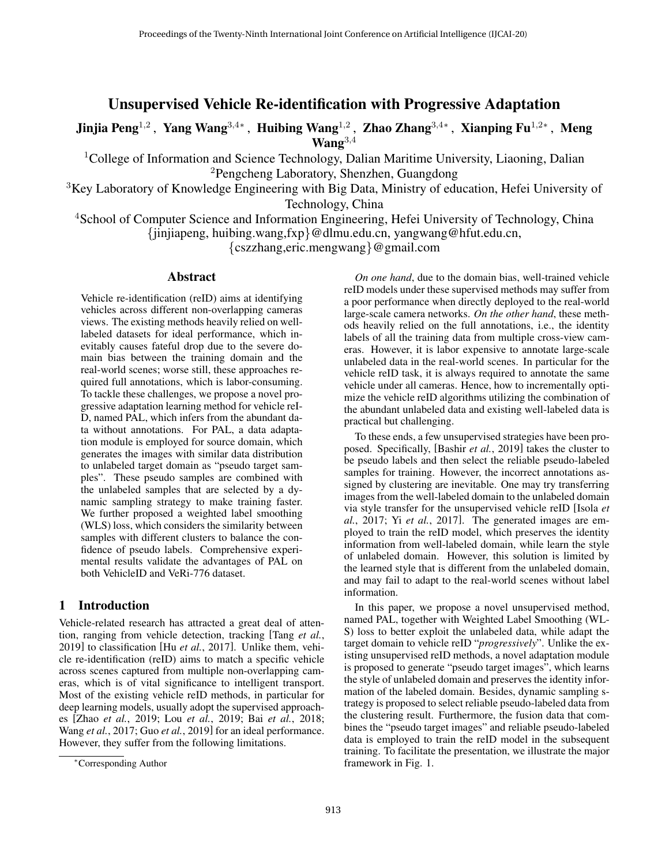# Unsupervised Vehicle Re-identification with Progressive Adaptation

Jinjia Peng<sup>1,2</sup>, Yang Wang<sup>3,4</sup>\*, Huibing Wang<sup>1,2</sup>, Zhao Zhang<sup>3,4</sup>\*, Xianping Fu<sup>1,2</sup>\*, Meng  $\mathbf{W}\mathbf{an}\mathbf{g}^{3,4}$ 

<sup>1</sup>College of Information and Science Technology, Dalian Maritime University, Liaoning, Dalian <sup>2</sup>Pengcheng Laboratory, Shenzhen, Guangdong

 $3$ Key Laboratory of Knowledge Engineering with Big Data, Ministry of education, Hefei University of Technology, China

<sup>4</sup>School of Computer Science and Information Engineering, Hefei University of Technology, China {jinjiapeng, huibing.wang,fxp}@dlmu.edu.cn, yangwang@hfut.edu.cn,

{cszzhang,eric.mengwang}@gmail.com

## Abstract

Vehicle re-identification (reID) aims at identifying vehicles across different non-overlapping cameras views. The existing methods heavily relied on welllabeled datasets for ideal performance, which inevitably causes fateful drop due to the severe domain bias between the training domain and the real-world scenes; worse still, these approaches required full annotations, which is labor-consuming. To tackle these challenges, we propose a novel progressive adaptation learning method for vehicle reI-D, named PAL, which infers from the abundant data without annotations. For PAL, a data adaptation module is employed for source domain, which generates the images with similar data distribution to unlabeled target domain as "pseudo target samples". These pseudo samples are combined with the unlabeled samples that are selected by a dynamic sampling strategy to make training faster. We further proposed a weighted label smoothing (WLS) loss, which considers the similarity between samples with different clusters to balance the confidence of pseudo labels. Comprehensive experimental results validate the advantages of PAL on both VehicleID and VeRi-776 dataset.

### 1 Introduction

Vehicle-related research has attracted a great deal of attention, ranging from vehicle detection, tracking [\[Tang](#page-6-0) *et al.*, [2019\]](#page-6-0) to classification [Hu *et al.*[, 2017\]](#page-6-1). Unlike them, vehicle re-identification (reID) aims to match a specific vehicle across scenes captured from multiple non-overlapping cameras, which is of vital significance to intelligent transport. Most of the existing vehicle reID methods, in particular for deep learning models, usually adopt the supervised approaches [Zhao *et al.*[, 2019;](#page-6-2) Lou *et al.*[, 2019;](#page-6-3) Bai *et al.*[, 2018;](#page-6-4) Wang *et al.*[, 2017;](#page-6-5) Guo *et al.*[, 2019\]](#page-6-6) for an ideal performance. However, they suffer from the following limitations.

*On one hand*, due to the domain bias, well-trained vehicle reID models under these supervised methods may suffer from a poor performance when directly deployed to the real-world large-scale camera networks. *On the other hand*, these methods heavily relied on the full annotations, i.e., the identity labels of all the training data from multiple cross-view cameras. However, it is labor expensive to annotate large-scale unlabeled data in the real-world scenes. In particular for the vehicle reID task, it is always required to annotate the same vehicle under all cameras. Hence, how to incrementally optimize the vehicle reID algorithms utilizing the combination of the abundant unlabeled data and existing well-labeled data is practical but challenging.

To these ends, a few unsupervised strategies have been proposed. Specifically, [Bashir *et al.*[, 2019\]](#page-6-7) takes the cluster to be pseudo labels and then select the reliable pseudo-labeled samples for training. However, the incorrect annotations assigned by clustering are inevitable. One may try transferring images from the well-labeled domain to the unlabeled domain via style transfer for the unsupervised vehicle reID [\[Isola](#page-6-8) *et al.*[, 2017;](#page-6-8) Yi *et al.*[, 2017\]](#page-6-9). The generated images are employed to train the reID model, which preserves the identity information from well-labeled domain, while learn the style of unlabeled domain. However, this solution is limited by the learned style that is different from the unlabeled domain, and may fail to adapt to the real-world scenes without label information.

In this paper, we propose a novel unsupervised method, named PAL, together with Weighted Label Smoothing (WL-S) loss to better exploit the unlabeled data, while adapt the target domain to vehicle reID "*progressively*". Unlike the existing unsupervised reID methods, a novel adaptation module is proposed to generate "pseudo target images", which learns the style of unlabeled domain and preserves the identity information of the labeled domain. Besides, dynamic sampling strategy is proposed to select reliable pseudo-labeled data from the clustering result. Furthermore, the fusion data that combines the "pseudo target images" and reliable pseudo-labeled data is employed to train the reID model in the subsequent training. To facilitate the presentation, we illustrate the major framework in Fig. [1.](#page-1-0)

<sup>∗</sup>Corresponding Author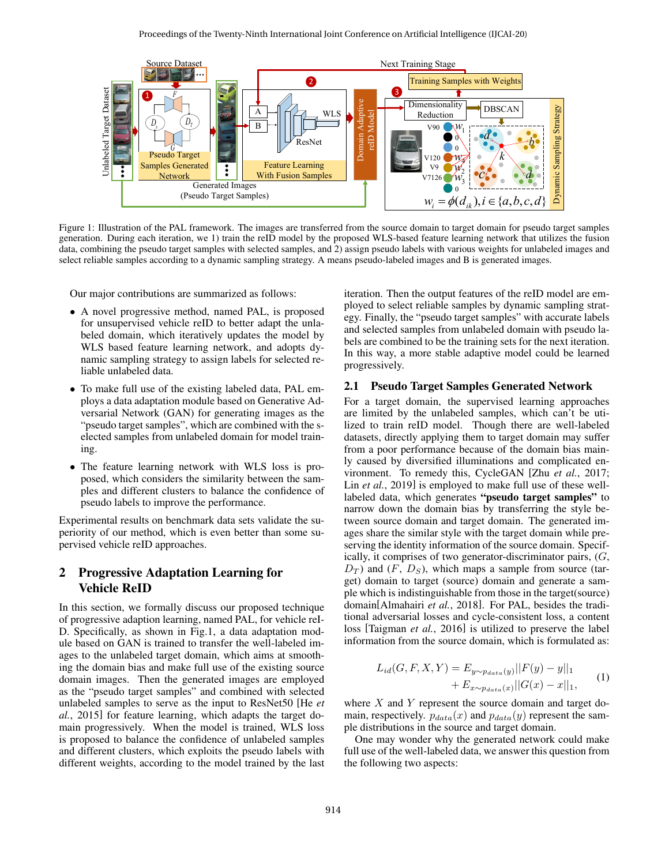<span id="page-1-0"></span>

Figure 1: Illustration of the PAL framework. The images are transferred from the source domain to target domain for pseudo target samples generation. During each iteration, we 1) train the reID model by the proposed WLS-based feature learning network that utilizes the fusion data, combining the pseudo target samples with selected samples, and 2) assign pseudo labels with various weights for unlabeled images and select reliable samples according to a dynamic sampling strategy. A means pseudo-labeled images and B is generated images.

Our major contributions are summarized as follows:

- A novel progressive method, named PAL, is proposed for unsupervised vehicle reID to better adapt the unlabeled domain, which iteratively updates the model by WLS based feature learning network, and adopts dynamic sampling strategy to assign labels for selected reliable unlabeled data.
- To make full use of the existing labeled data, PAL employs a data adaptation module based on Generative Adversarial Network (GAN) for generating images as the "pseudo target samples", which are combined with the selected samples from unlabeled domain for model training.
- The feature learning network with WLS loss is proposed, which considers the similarity between the samples and different clusters to balance the confidence of pseudo labels to improve the performance.

Experimental results on benchmark data sets validate the superiority of our method, which is even better than some supervised vehicle reID approaches.

## 2 Progressive Adaptation Learning for Vehicle ReID

In this section, we formally discuss our proposed technique of progressive adaption learning, named PAL, for vehicle reI-D. Specifically, as shown in Fig[.1,](#page-1-0) a data adaptation module based on GAN is trained to transfer the well-labeled images to the unlabeled target domain, which aims at smoothing the domain bias and make full use of the existing source domain images. Then the generated images are employed as the "pseudo target samples" and combined with selected unlabeled samples to serve as the input to ResNet50 [\[He](#page-6-10) *et al.*[, 2015\]](#page-6-10) for feature learning, which adapts the target domain progressively. When the model is trained, WLS loss is proposed to balance the confidence of unlabeled samples and different clusters, which exploits the pseudo labels with different weights, according to the model trained by the last iteration. Then the output features of the reID model are employed to select reliable samples by dynamic sampling strategy. Finally, the "pseudo target samples" with accurate labels and selected samples from unlabeled domain with pseudo labels are combined to be the training sets for the next iteration. In this way, a more stable adaptive model could be learned progressively.

#### 2.1 Pseudo Target Samples Generated Network

For a target domain, the supervised learning approaches are limited by the unlabeled samples, which can't be utilized to train reID model. Though there are well-labeled datasets, directly applying them to target domain may suffer from a poor performance because of the domain bias mainly caused by diversified illuminations and complicated environment. To remedy this, CycleGAN [Zhu *et al.*[, 2017;](#page-6-11) Lin *et al.*[, 2019\]](#page-6-12) is employed to make full use of these welllabeled data, which generates "pseudo target samples" to narrow down the domain bias by transferring the style between source domain and target domain. The generated images share the similar style with the target domain while preserving the identity information of the source domain. Specifically, it comprises of two generator-discriminator pairs, (G,  $D_T$ ) and  $(F, D_S)$ , which maps a sample from source (target) domain to target (source) domain and generate a sample which is indistinguishable from those in the target(source) domain[\[Almahairi](#page-6-13) *et al.*, 2018]. For PAL, besides the traditional adversarial losses and cycle-consistent loss, a content loss [\[Taigman](#page-6-14) *et al.*, 2016] is utilized to preserve the label information from the source domain, which is formulated as:

$$
L_{id}(G, F, X, Y) = E_{y \sim p_{data}(y)} ||F(y) - y||_1
$$
  
+ 
$$
E_{x \sim p_{data}(x)} ||G(x) - x||_1,
$$
 (1)

where  $X$  and  $Y$  represent the source domain and target domain, respectively.  $p_{data}(x)$  and  $p_{data}(y)$  represent the sample distributions in the source and target domain.

One may wonder why the generated network could make full use of the well-labeled data, we answer this question from the following two aspects: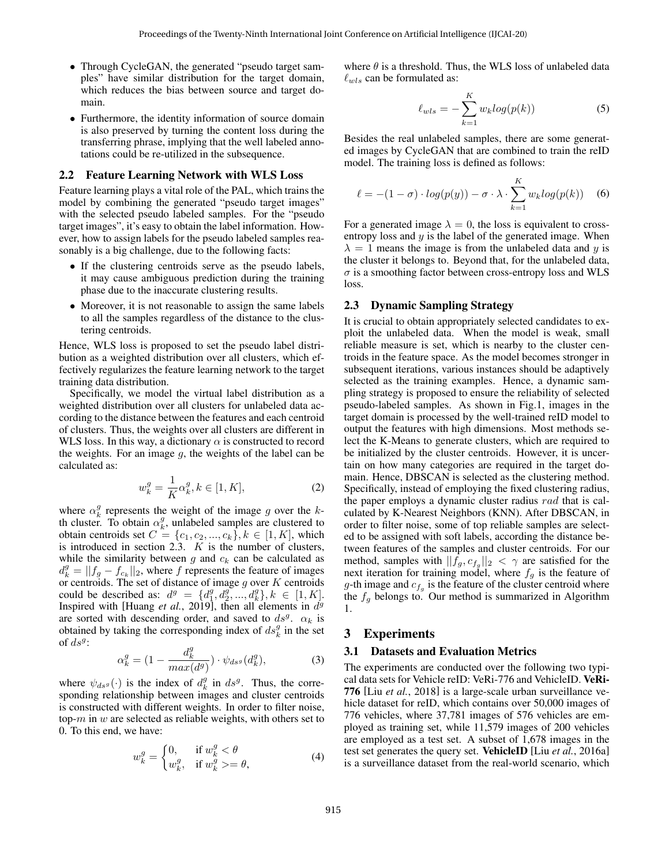- Through CycleGAN, the generated "pseudo target samples" have similar distribution for the target domain, which reduces the bias between source and target domain.
- Furthermore, the identity information of source domain is also preserved by turning the content loss during the transferring phrase, implying that the well labeled annotations could be re-utilized in the subsequence.

#### 2.2 Feature Learning Network with WLS Loss

Feature learning plays a vital role of the PAL, which trains the model by combining the generated "pseudo target images" with the selected pseudo labeled samples. For the "pseudo target images", it's easy to obtain the label information. However, how to assign labels for the pseudo labeled samples reasonably is a big challenge, due to the following facts:

- If the clustering centroids serve as the pseudo labels, it may cause ambiguous prediction during the training phase due to the inaccurate clustering results.
- Moreover, it is not reasonable to assign the same labels to all the samples regardless of the distance to the clustering centroids.

Hence, WLS loss is proposed to set the pseudo label distribution as a weighted distribution over all clusters, which effectively regularizes the feature learning network to the target training data distribution.

Specifically, we model the virtual label distribution as a weighted distribution over all clusters for unlabeled data according to the distance between the features and each centroid of clusters. Thus, the weights over all clusters are different in WLS loss. In this way, a dictionary  $\alpha$  is constructed to record the weights. For an image  $q$ , the weights of the label can be calculated as:

$$
w_k^g = \frac{1}{K} \alpha_k^g, k \in [1, K],
$$
 (2)

where  $\alpha_k^g$  represents the weight of the image g over the kth cluster. To obtain  $\alpha_k^g$ , unlabeled samples are clustered to obtain centroids set  $C = \{c_1, c_2, ..., c_k\}, k \in [1, K]$ , which is introduced in section [2.3.](#page-2-0)  $K$  is the number of clusters, while the similarity between  $g$  and  $c_k$  can be calculated as  $d_k^g = ||f_g - f_{c_k}||_2$ , where f represents the feature of images or centroids. The set of distance of image  $g$  over  $K$  centroids could be described as:  $d^g = \{d_1^g, d_2^g, ..., d_k^g\}, k \in [1, K].$ Inspired with [Huang *et al.*[, 2019\]](#page-6-15), then all elements in  $d^g$ are sorted with descending order, and saved to  $ds^g$ .  $\alpha_k$  is obtained by taking the corresponding index of  $ds_k^g$  in the set of  $ds^g$ :

$$
\alpha_k^g = \left(1 - \frac{d_k^g}{\max(d^g)}\right) \cdot \psi_{ds^g}(d_k^g),\tag{3}
$$

where  $\psi_{dsg}(\cdot)$  is the index of  $d_k^g$  in  $ds^g$ . Thus, the corresponding relationship between images and cluster centroids is constructed with different weights. In order to filter noise, top- $m$  in  $w$  are selected as reliable weights, with others set to 0. To this end, we have:

$$
w_k^g = \begin{cases} 0, & \text{if } w_k^g < \theta \\ w_k^g, & \text{if } w_k^g > = \theta, \end{cases}
$$
 (4)

where  $\theta$  is a threshold. Thus, the WLS loss of unlabeled data  $\ell_{wls}$  can be formulated as:

$$
\ell_{wls} = -\sum_{k=1}^{K} w_k \log(p(k)) \tag{5}
$$

Besides the real unlabeled samples, there are some generated images by CycleGAN that are combined to train the reID model. The training loss is defined as follows:

$$
\ell = -(1 - \sigma) \cdot log(p(y)) - \sigma \cdot \lambda \cdot \sum_{k=1}^{K} w_k log(p(k)) \quad (6)
$$

For a generated image  $\lambda = 0$ , the loss is equivalent to crossentropy loss and  $y$  is the label of the generated image. When  $\lambda = 1$  means the image is from the unlabeled data and y is the cluster it belongs to. Beyond that, for the unlabeled data,  $\sigma$  is a smoothing factor between cross-entropy loss and WLS loss.

### <span id="page-2-0"></span>2.3 Dynamic Sampling Strategy

It is crucial to obtain appropriately selected candidates to exploit the unlabeled data. When the model is weak, small reliable measure is set, which is nearby to the cluster centroids in the feature space. As the model becomes stronger in subsequent iterations, various instances should be adaptively selected as the training examples. Hence, a dynamic sampling strategy is proposed to ensure the reliability of selected pseudo-labeled samples. As shown in Fig[.1,](#page-1-0) images in the target domain is processed by the well-trained reID model to output the features with high dimensions. Most methods select the K-Means to generate clusters, which are required to be initialized by the cluster centroids. However, it is uncertain on how many categories are required in the target domain. Hence, DBSCAN is selected as the clustering method. Specifically, instead of employing the fixed clustering radius, the paper employs a dynamic cluster radius rad that is calculated by K-Nearest Neighbors (KNN). After DBSCAN, in order to filter noise, some of top reliable samples are selected to be assigned with soft labels, according the distance between features of the samples and cluster centroids. For our method, samples with  $||f_g, c_{f_g}||_2 < \gamma$  are satisfied for the next iteration for training model, where  $f_q$  is the feature of g-th image and  $c_{f_g}$  is the feature of the cluster centroid where the  $f_g$  belongs to. Our method is summarized in Algorithm [1.](#page-3-0)

#### 3 Experiments

#### 3.1 Datasets and Evaluation Metrics

The experiments are conducted over the following two typical data sets for Vehicle reID: VeRi-776 and VehicleID. VeRi-776 [Liu *et al.*[, 2018\]](#page-6-16) is a large-scale urban surveillance vehicle dataset for reID, which contains over 50,000 images of 776 vehicles, where 37,781 images of 576 vehicles are employed as training set, while 11,579 images of 200 vehicles are employed as a test set. A subset of 1,678 images in the test set generates the query set. VehicleID [Liu *et al.*[, 2016a\]](#page-6-17) is a surveillance dataset from the real-world scenario, which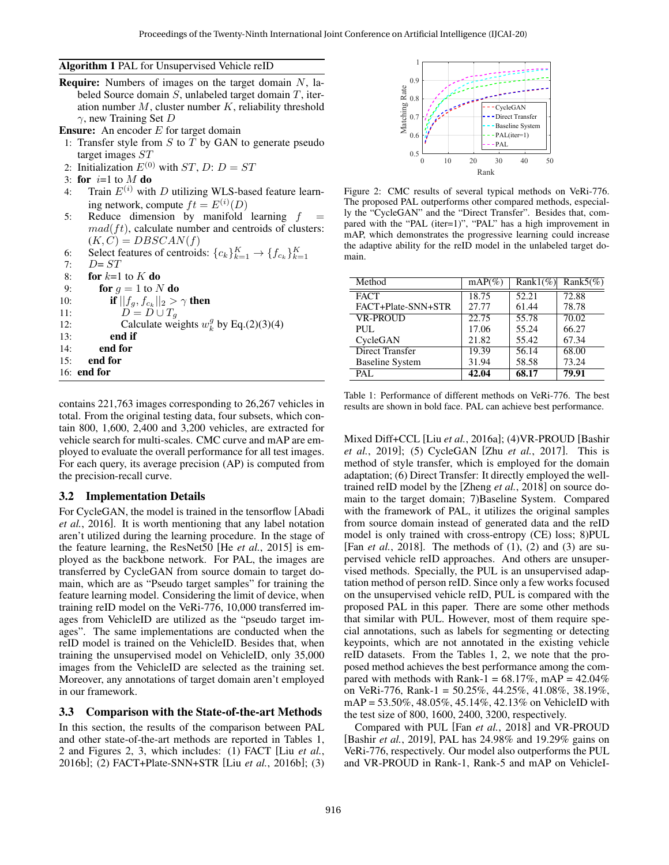Algorithm 1 PAL for Unsupervised Vehicle reID

**Require:** Numbers of images on the target domain  $N$ , labeled Source domain S, unlabeled target domain T, iteration number  $M$ , cluster number  $K$ , reliability threshold  $\gamma$ , new Training Set D

**Ensure:** An encoder  $E$  for target domain

- 1: Transfer style from  $S$  to  $T$  by GAN to generate pseudo target images  $ST$
- 2: Initialization  $E^{(0)}$  with  $ST$ , D:  $D = ST$
- 3: for  $i=1$  to  $M$  do
- 4: Train  $E^{(i)}$  with D utilizing WLS-based feature learning network, compute  $ft = E^{(i)}(D)$
- 5: Reduce dimension by manifold learning  $f =$  $mad({ft})$ , calculate number and centroids of clusters:  $(K, C) = DBSCAN(f)$
- 6: Select features of centroids:  ${c_k}_{k=1}^K \rightarrow {f_{c_k}}_{k=1}^K$
- 7:  $D = ST$
- 8: for  $k=1$  to  $K$  do

9: **for**  $g = 1$  to N **do** 

- 10: **if**  $||f_g, f_{c_k}||_2 > \gamma$  **then**
- 11:  $D = D \cup T_q$
- 12: Calculate weights  $w_k^g$  by Eq.(2)(3)(4)
- 13: end if
- 14: end for
- 15: end for
- <span id="page-3-0"></span>16: end for

contains 221,763 images corresponding to 26,267 vehicles in total. From the original testing data, four subsets, which contain 800, 1,600, 2,400 and 3,200 vehicles, are extracted for vehicle search for multi-scales. CMC curve and mAP are employed to evaluate the overall performance for all test images. For each query, its average precision (AP) is computed from the precision-recall curve.

## 3.2 Implementation Details

For CycleGAN, the model is trained in the tensorflow [\[Abadi](#page-6-18) *et al.*[, 2016\]](#page-6-18). It is worth mentioning that any label notation aren't utilized during the learning procedure. In the stage of the feature learning, the ResNet50 [He *et al.*[, 2015\]](#page-6-10) is employed as the backbone network. For PAL, the images are transferred by CycleGAN from source domain to target domain, which are as "Pseudo target samples" for training the feature learning model. Considering the limit of device, when training reID model on the VeRi-776, 10,000 transferred images from VehicleID are utilized as the "pseudo target images". The same implementations are conducted when the reID model is trained on the VehicleID. Besides that, when training the unsupervised model on VehicleID, only 35,000 images from the VehicleID are selected as the training set. Moreover, any annotations of target domain aren't employed in our framework.

## 3.3 Comparison with the State-of-the-art Methods

In this section, the results of the comparison between PAL and other state-of-the-art methods are reported in Tables [1,](#page-3-1) [2](#page-4-0) and Figures [2,](#page-3-2) [3,](#page-5-0) which includes: (1) FACT [Liu *[et al.](#page-6-19)*, [2016b\]](#page-6-19); (2) FACT+Plate-SNN+STR [Liu *et al.*[, 2016b\]](#page-6-19); (3)

<span id="page-3-2"></span>

Figure 2: CMC results of several typical methods on VeRi-776. The proposed PAL outperforms other compared methods, especially the "CycleGAN" and the "Direct Transfer". Besides that, compared with the "PAL (iter=1)", "PAL" has a high improvement in mAP, which demonstrates the progressive learning could increase the adaptive ability for the reID model in the unlabeled target domain.

<span id="page-3-1"></span>

| Method                 | $mAP(\%)$ | $Rank1(\%)$ | Rank $5\%$ |
|------------------------|-----------|-------------|------------|
| <b>FACT</b>            | 18.75     | 52.21       | 72.88      |
| FACT+Plate-SNN+STR     | 27.77     | 61.44       | 78.78      |
| <b>VR-PROUD</b>        | 22.75     | 55.78       | 70.02      |
| PUL.                   | 17.06     | 55.24       | 66.27      |
| CycleGAN               | 21.82     | 55.42       | 67.34      |
| Direct Transfer        | 19.39     | 56.14       | 68.00      |
| <b>Baseline System</b> | 31.94     | 58.58       | 73.24      |
| PAL.                   | 42.04     | 68.17       | 79.91      |

Table 1: Performance of different methods on VeRi-776. The best results are shown in bold face. PAL can achieve best performance.

Mixed Diff+CCL [Liu *et al.*[, 2016a\]](#page-6-17); (4)VR-PROUD [\[Bashir](#page-6-7) *et al.*[, 2019\]](#page-6-7); (5) CycleGAN [Zhu *et al.*[, 2017\]](#page-6-11). This is method of style transfer, which is employed for the domain adaptation; (6) Direct Transfer: It directly employed the welltrained reID model by the [\[Zheng](#page-6-20) *et al.*, 2018] on source domain to the target domain; 7)Baseline System. Compared with the framework of PAL, it utilizes the original samples from source domain instead of generated data and the reID model is only trained with cross-entropy (CE) loss; 8)PUL [Fan *et al.*[, 2018\]](#page-6-21). The methods of (1), (2) and (3) are supervised vehicle reID approaches. And others are unsupervised methods. Specially, the PUL is an unsupervised adaptation method of person reID. Since only a few works focused on the unsupervised vehicle reID, PUL is compared with the proposed PAL in this paper. There are some other methods that similar with PUL. However, most of them require special annotations, such as labels for segmenting or detecting keypoints, which are not annotated in the existing vehicle reID datasets. From the Tables [1,](#page-3-1) [2,](#page-4-0) we note that the proposed method achieves the best performance among the compared with methods with Rank-1 =  $68.17\%$ , mAP =  $42.04\%$ on VeRi-776, Rank-1 = 50.25%, 44.25%, 41.08%, 38.19%, mAP = 53.50%, 48.05%, 45.14%, 42.13% on VehicleID with the test size of 800, 1600, 2400, 3200, respectively.

Compared with PUL [Fan *et al.*[, 2018\]](#page-6-21) and VR-PROUD [\[Bashir](#page-6-7) *et al.*, 2019], PAL has 24.98% and 19.29% gains on VeRi-776, respectively. Our model also outperforms the PUL and VR-PROUD in Rank-1, Rank-5 and mAP on VehicleI-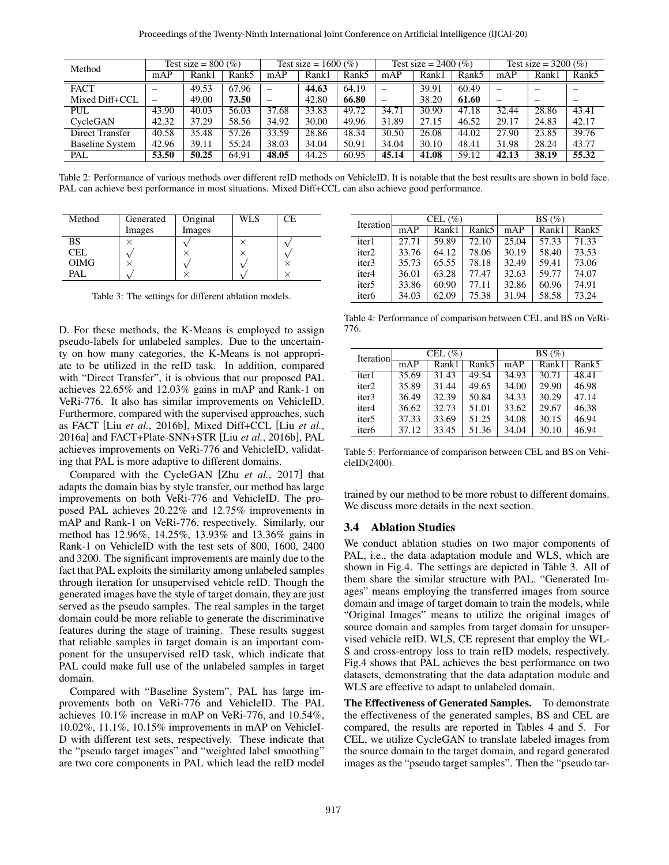<span id="page-4-0"></span>

| Method                 | Test size = $800\,(%)$   |       | Test size = $1600\,(%)$ |                          | Test size = $2400\,(%)$ |       | Test size = $3200\,(%)$        |       |       |                          |       |       |
|------------------------|--------------------------|-------|-------------------------|--------------------------|-------------------------|-------|--------------------------------|-------|-------|--------------------------|-------|-------|
|                        | mAP                      | Rank1 | Rank5                   | mAP                      | Rank1                   | Rank5 | mAP                            | Rank1 | Rank5 | mAP                      | Rank1 | Rank5 |
| <b>FACT</b>            | $\overline{\phantom{0}}$ | 49.53 | 67.96                   | —                        | 44.63                   | 64.19 | $\overline{\phantom{0}}$       | 39.91 | 60.49 | $\equiv$                 |       |       |
| Mixed Diff+CCL         | $\qquad \qquad -$        | 49.00 | 73.50                   | $\overline{\phantom{m}}$ | 42.80                   | 66.80 | $\qquad \qquad \longleftarrow$ | 38.20 | 61.60 | $\overline{\phantom{0}}$ |       | -     |
| PUL                    | 43.90                    | 40.03 | 56.03                   | 37.68                    | 33.83                   | 49.72 | 34.71                          | 30.90 | 47.18 | 32.44                    | 28.86 | 43.41 |
| CycleGAN               | 42.32                    | 37.29 | 58.56                   | 34.92                    | 30.00                   | 49.96 | 31.89                          | 27.15 | 46.52 | 29.17                    | 24.83 | 42.17 |
| Direct Transfer        | 40.58                    | 35.48 | 57.26                   | 33.59                    | 28.86                   | 48.34 | 30.50                          | 26.08 | 44.02 | 27.90                    | 23.85 | 39.76 |
| <b>Baseline System</b> | 42.96                    | 39.11 | 55.24                   | 38.03                    | 34.04                   | 50.91 | 34.04                          | 30.10 | 48.41 | 31.98                    | 28.24 | 43.77 |
| PAL                    | 53.50                    | 50.25 | 64.91                   | 48.05                    | 44.25                   | 60.95 | 45.14                          | 41.08 | 59.12 | 42.13                    | 38.19 | 55.32 |

Table 2: Performance of various methods over different reID methods on VehicleID. It is notable that the best results are shown in bold face. PAL can achieve best performance in most situations. Mixed Diff+CCL can also achieve good performance.

<span id="page-4-1"></span>

| Method      | Generated | Original | WLS | СE |
|-------------|-----------|----------|-----|----|
|             | Images    | Images   |     |    |
| BS          |           |          |     |    |
| <b>CEL</b>  |           |          |     |    |
| <b>OIMG</b> |           |          |     |    |
| PAL         |           |          |     |    |

Table 3: The settings for different ablation models.

D. For these methods, the K-Means is employed to assign pseudo-labels for unlabeled samples. Due to the uncertainty on how many categories, the K-Means is not appropriate to be utilized in the reID task. In addition, compared with "Direct Transfer", it is obvious that our proposed PAL achieves 22.65% and 12.03% gains in mAP and Rank-1 on VeRi-776. It also has similar improvements on VehicleID. Furthermore, compared with the supervised approaches, such as FACT [Liu *et al.*[, 2016b\]](#page-6-19), Mixed Diff+CCL [Liu *[et al.](#page-6-17)*, [2016a\]](#page-6-17) and FACT+Plate-SNN+STR [Liu *et al.*[, 2016b\]](#page-6-19), PAL achieves improvements on VeRi-776 and VehicleID, validating that PAL is more adaptive to different domains.

Compared with the CycleGAN [Zhu *et al.*[, 2017\]](#page-6-11) that adapts the domain bias by style transfer, our method has large improvements on both VeRi-776 and VehicleID. The proposed PAL achieves 20.22% and 12.75% improvements in mAP and Rank-1 on VeRi-776, respectively. Similarly, our method has 12.96%, 14.25%, 13.93% and 13.36% gains in Rank-1 on VehicleID with the test sets of 800, 1600, 2400 and 3200. The significant improvements are mainly due to the fact that PAL exploits the similarity among unlabeled samples through iteration for unsupervised vehicle reID. Though the generated images have the style of target domain, they are just served as the pseudo samples. The real samples in the target domain could be more reliable to generate the discriminative features during the stage of training. These results suggest that reliable samples in target domain is an important component for the unsupervised reID task, which indicate that PAL could make full use of the unlabeled samples in target domain.

Compared with "Baseline System", PAL has large improvements both on VeRi-776 and VehicleID. The PAL achieves 10.1% increase in mAP on VeRi-776, and 10.54%, 10.02%, 11.1%, 10.15% improvements in mAP on VehicleI-D with different test sets, respectively. These indicate that the "pseudo target images" and "weighted label smoothing" are two core components in PAL which lead the reID model

<span id="page-4-2"></span>

| Iteration         |       | CEL $(\% )$ |                   | BS(%) |       |       |  |
|-------------------|-------|-------------|-------------------|-------|-------|-------|--|
|                   | mAP   | Rank1       | Rank <sub>5</sub> | mAP   | Rank1 | Rank5 |  |
| iter1             | 27.71 | 59.89       | 72.10             | 25.04 | 57.33 | 71.33 |  |
| iter <sub>2</sub> | 33.76 | 64.12       | 78.06             | 30.19 | 58.40 | 73.53 |  |
| iter <sub>3</sub> | 35.73 | 65.55       | 78.18             | 32.49 | 59.41 | 73.06 |  |
| iter4             | 36.01 | 63.28       | 77.47             | 32.63 | 59.77 | 74.07 |  |
| iter <sub>5</sub> | 33.86 | 60.90       | 77.11             | 32.86 | 60.96 | 74.91 |  |
| iter <sub>6</sub> | 34.03 | 62.09       | 75.38             | 31.94 | 58.58 | 73.24 |  |

Table 4: Performance of comparison between CEL and BS on VeRi-776.

<span id="page-4-3"></span>

| <b>Iteration</b>  |       | CEL $(\% )$ |       | BS(%) |       |       |  |
|-------------------|-------|-------------|-------|-------|-------|-------|--|
|                   | mAP   | Rank1       | Rank5 | mAP   | Rank1 | Rank5 |  |
| iter1             | 35.69 | 31.43       | 49.54 | 34.93 | 30.71 | 48.41 |  |
| iter <sub>2</sub> | 35.89 | 31.44       | 49.65 | 34.00 | 29.90 | 46.98 |  |
| iter3             | 36.49 | 32.39       | 50.84 | 34.33 | 30.29 | 47.14 |  |
| iter <sub>4</sub> | 36.62 | 32.73       | 51.01 | 33.62 | 29.67 | 46.38 |  |
| iter <sub>5</sub> | 37.33 | 33.69       | 51.25 | 34.08 | 30.15 | 46.94 |  |
| iter <sub>6</sub> | 37.12 | 33.45       | 51.36 | 34.04 | 30.10 | 46.94 |  |

Table 5: Performance of comparison between CEL and BS on VehicleID(2400).

trained by our method to be more robust to different domains. We discuss more details in the next section.

## 3.4 Ablation Studies

We conduct ablation studies on two major components of PAL, i.e., the data adaptation module and WLS, which are shown in Fig[.4.](#page-5-1) The settings are depicted in Table [3.](#page-4-1) All of them share the similar structure with PAL. "Generated Images" means employing the transferred images from source domain and image of target domain to train the models, while "Original Images" means to utilize the original images of source domain and samples from target domain for unsupervised vehicle reID. WLS, CE represent that employ the WL-S and cross-entropy loss to train reID models, respectively. Fig[.4](#page-5-1) shows that PAL achieves the best performance on two datasets, demonstrating that the data adaptation module and WLS are effective to adapt to unlabeled domain.

The Effectiveness of Generated Samples. To demonstrate the effectiveness of the generated samples, BS and CEL are compared, the results are reported in Tables [4](#page-4-2) and [5.](#page-4-3) For CEL, we utilize CycleGAN to translate labeled images from the source domain to the target domain, and regard generated images as the "pseudo target samples". Then the "pseudo tar-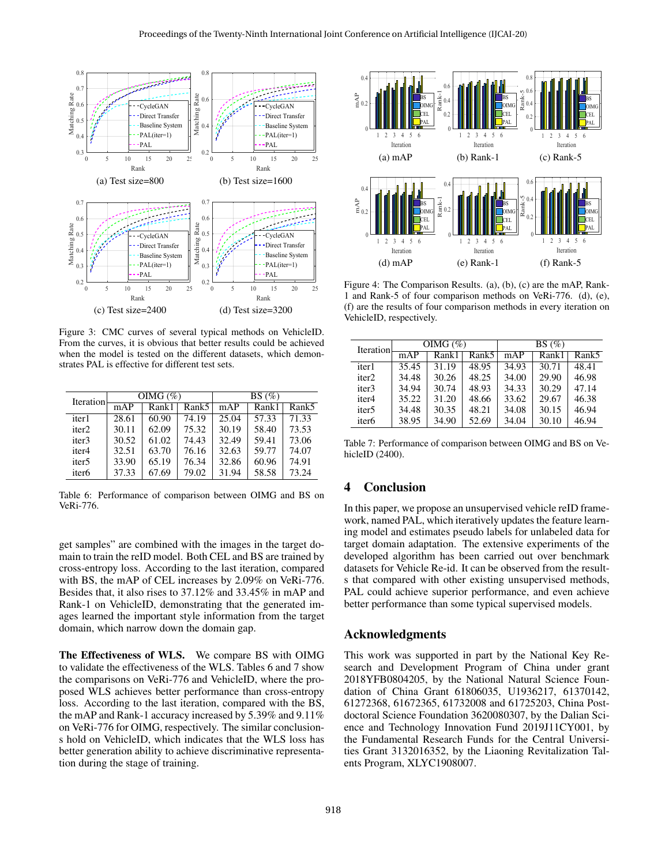<span id="page-5-0"></span>

Figure 3: CMC curves of several typical methods on VehicleID. From the curves, it is obvious that better results could be achieved when the model is tested on the different datasets, which demonstrates PAL is effective for different test sets.

<span id="page-5-2"></span>

| Iteration         |       | OIMG $(\%)$ |       | BS(%) |       |                   |  |
|-------------------|-------|-------------|-------|-------|-------|-------------------|--|
|                   | mAP   | Rank1       | Rank5 | mAP   | Rank1 | Rank <sub>5</sub> |  |
| iter1             | 28.61 | 60.90       | 74.19 | 25.04 | 57.33 | 71.33             |  |
| iter <sub>2</sub> | 30.11 | 62.09       | 75.32 | 30.19 | 58.40 | 73.53             |  |
| iter3             | 30.52 | 61.02       | 74.43 | 32.49 | 59.41 | 73.06             |  |
| iter4             | 32.51 | 63.70       | 76.16 | 32.63 | 59.77 | 74.07             |  |
| iter <sub>5</sub> | 33.90 | 65.19       | 76.34 | 32.86 | 60.96 | 74.91             |  |
| iter <sub>6</sub> | 37.33 | 67.69       | 79.02 | 31.94 | 58.58 | 73.24             |  |

Table 6: Performance of comparison between OIMG and BS on VeRi-776.

get samples" are combined with the images in the target domain to train the reID model. Both CEL and BS are trained by cross-entropy loss. According to the last iteration, compared with BS, the mAP of CEL increases by 2.09% on VeRi-776. Besides that, it also rises to 37.12% and 33.45% in mAP and Rank-1 on VehicleID, demonstrating that the generated images learned the important style information from the target domain, which narrow down the domain gap.

The Effectiveness of WLS. We compare BS with OIMG to validate the effectiveness of the WLS. Tables [6](#page-5-2) and [7](#page-5-3) show the comparisons on VeRi-776 and VehicleID, where the proposed WLS achieves better performance than cross-entropy loss. According to the last iteration, compared with the BS, the mAP and Rank-1 accuracy increased by 5.39% and 9.11% on VeRi-776 for OIMG, respectively. The similar conclusions hold on VehicleID, which indicates that the WLS loss has better generation ability to achieve discriminative representation during the stage of training.

<span id="page-5-1"></span>

Figure 4: The Comparison Results. (a), (b), (c) are the mAP, Rank-1 and Rank-5 of four comparison methods on VeRi-776. (d), (e), (f) are the results of four comparison methods in every iteration on VehicleID, respectively.

<span id="page-5-3"></span>

| <b>Iteration</b>  |       | OIMG $(\%)$ |       | $BS(\%)$ |       |       |  |
|-------------------|-------|-------------|-------|----------|-------|-------|--|
|                   | mAP   | Rank1       | Rank5 | mAP      | Rank1 | Rank5 |  |
| iter1             | 35.45 | 31.19       | 48.95 | 34.93    | 30.71 | 48.41 |  |
| iter <sub>2</sub> | 34.48 | 30.26       | 48.25 | 34.00    | 29.90 | 46.98 |  |
| iter <sub>3</sub> | 34.94 | 30.74       | 48.93 | 34.33    | 30.29 | 47.14 |  |
| iter4             | 35.22 | 31.20       | 48.66 | 33.62    | 29.67 | 46.38 |  |
| iter <sub>5</sub> | 34.48 | 30.35       | 48.21 | 34.08    | 30.15 | 46.94 |  |
| iter <sub>6</sub> | 38.95 | 34.90       | 52.69 | 34.04    | 30.10 | 46.94 |  |

Table 7: Performance of comparison between OIMG and BS on VehicleID (2400).

## 4 Conclusion

In this paper, we propose an unsupervised vehicle reID framework, named PAL, which iteratively updates the feature learning model and estimates pseudo labels for unlabeled data for target domain adaptation. The extensive experiments of the developed algorithm has been carried out over benchmark datasets for Vehicle Re-id. It can be observed from the results that compared with other existing unsupervised methods, PAL could achieve superior performance, and even achieve better performance than some typical supervised models.

### Acknowledgments

This work was supported in part by the National Key Research and Development Program of China under grant 2018YFB0804205, by the National Natural Science Foundation of China Grant 61806035, U1936217, 61370142, 61272368, 61672365, 61732008 and 61725203, China Postdoctoral Science Foundation 3620080307, by the Dalian Science and Technology Innovation Fund 2019J11CY001, by the Fundamental Research Funds for the Central Universities Grant 3132016352, by the Liaoning Revitalization Talents Program, XLYC1908007.